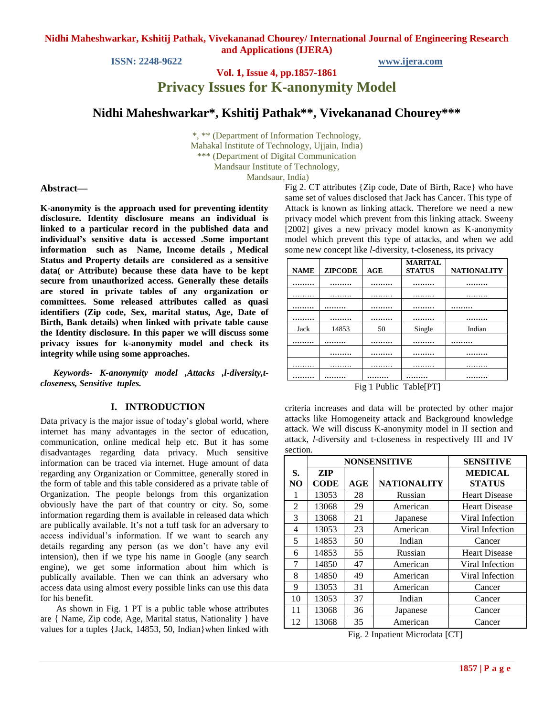**ISSN: 2248-9622 www.ijera.com**

**Vol. 1, Issue 4, pp.1857-1861 Privacy Issues for K-anonymity Model**

# **Nidhi Maheshwarkar\*, Kshitij Pathak\*\*, Vivekananad Chourey\*\*\***

\*, \*\* (Department of Information Technology, Mahakal Institute of Technology, Ujjain, India) \*\*\* (Department of Digital Communication Mandsaur Institute of Technology, Mandsaur, India)

#### **Abstract—**

**K-anonymity is the approach used for preventing identity disclosure. Identity disclosure means an individual is linked to a particular record in the published data and individual's sensitive data is accessed .Some important information such as Name, Income details , Medical Status and Property details are considered as a sensitive data( or Attribute) because these data have to be kept secure from unauthorized access. Generally these details are stored in private tables of any organization or committees. Some released attributes called as quasi identifiers (Zip code, Sex, marital status, Age, Date of Birth, Bank details) when linked with private table cause the Identity disclosure. In this paper we will discuss some privacy issues for k-anonymity model and check its integrity while using some approaches.**

*Keywords- K-anonymity model ,Attacks ,l-diversity,tcloseness, Sensitive tuples.*

## **I. INTRODUCTION**

Data privacy is the major issue of today's global world, where internet has many advantages in the sector of education, communication, online medical help etc. But it has some disadvantages regarding data privacy. Much sensitive information can be traced via internet. Huge amount of data regarding any Organization or Committee, generally stored in the form of table and this table considered as a private table of Organization. The people belongs from this organization obviously have the part of that country or city. So, some information regarding them is available in released data which are publically available. It"s not a tuff task for an adversary to access individual"s information. If we want to search any details regarding any person (as we don"t have any evil intension), then if we type his name in Google (any search engine), we get some information about him which is publically available. Then we can think an adversary who access data using almost every possible links can use this data for his benefit.

 As shown in Fig. 1 PT is a public table whose attributes are { Name, Zip code, Age, Marital status, Nationality } have values for a tuples {Jack, 14853, 50, Indian} when linked with

Fig 2. CT attributes {Zip code, Date of Birth, Race} who have same set of values disclosed that Jack has Cancer. This type of Attack is known as linking attack. Therefore we need a new privacy model which prevent from this linking attack. Sweeny [2002] gives a new privacy model known as K-anonymity model which prevent this type of attacks, and when we add some new concept like *l*-diversity, t-closeness, its privacy

| <b>NAME</b> | <b>ZIPCODE</b> | AGE | <b>MARITAL</b><br><b>STATUS</b> | <b>NATIONALITY</b> |
|-------------|----------------|-----|---------------------------------|--------------------|
|             |                |     |                                 |                    |
| .           | .              | .   | .                               | .                  |
| .           |                |     |                                 |                    |
|             |                |     |                                 |                    |
| Jack        | 14853          | 50  | Single                          | Indian             |
|             |                |     |                                 |                    |
|             |                |     |                                 |                    |
| .           | .              | .   | .                               | .                  |
| .           |                |     |                                 |                    |

Fig 1 Public Table[PT]

criteria increases and data will be protected by other major attacks like Homogeneity attack and Background knowledge attack. We will discuss K-anonymity model in II section and attack*, l-*diversity and t-closeness in respectively III and IV section.

|               | <b>NONSENSITIVE</b> |     |                    | <b>SENSITIVE</b>     |
|---------------|---------------------|-----|--------------------|----------------------|
| S.            | <b>ZIP</b>          |     |                    | <b>MEDICAL</b>       |
| NO.           | <b>CODE</b>         | AGE | <b>NATIONALITY</b> | <b>STATUS</b>        |
| 1             | 13053               | 28  | Russian            | <b>Heart Disease</b> |
| 2             | 13068               | 29  | American           | <b>Heart Disease</b> |
| $\mathcal{R}$ | 13068               | 21  | Japanese           | Viral Infection      |
| 4             | 13053               | 23  | American           | Viral Infection      |
| 5             | 14853               | 50  | Indian             | Cancer               |
| 6             | 14853               | 55  | Russian            | <b>Heart Disease</b> |
| 7             | 14850               | 47  | American           | Viral Infection      |
| 8             | 14850               | 49  | American           | Viral Infection      |
| 9             | 13053               | 31  | American           | Cancer               |
| 10            | 13053               | 37  | Indian             | Cancer               |
| 11            | 13068               | 36  | Japanese           | Cancer               |
| 12            | 13068               | 35  | American           | Cancer               |

Fig. 2 Inpatient Microdata [CT]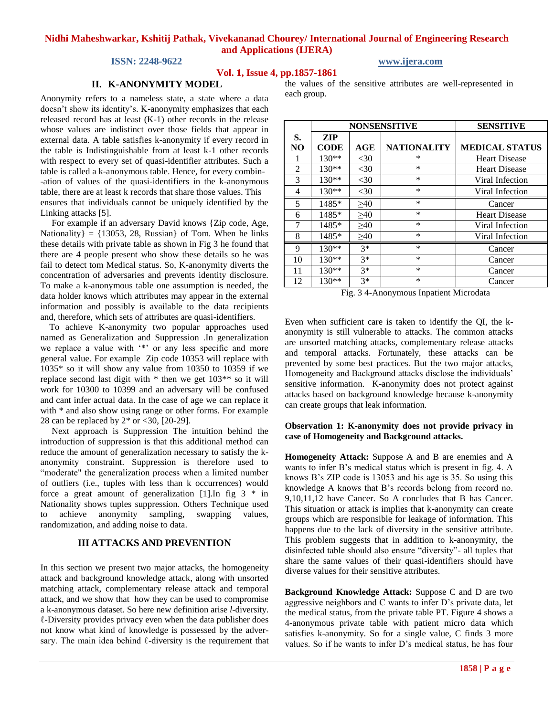## **ISSN: 2248-9622 www.ijera.com**

## **Vol. 1, Issue 4, pp.1857-1861**

#### **II. K-ANONYMITY MODEL**

Anonymity refers to a nameless state, a state where a data doesn't show its identity's. K-anonymity emphasizes that each released record has at least (K-1) other records in the release whose values are indistinct over those fields that appear in external data. A table satisfies k-anonymity if every record in the table is Indistinguishable from at least k-1 other records with respect to every set of quasi-identifier attributes. Such a table is called a k-anonymous table. Hence, for every combin- -ation of values of the quasi-identifiers in the k-anonymous table, there are at least k records that share those values. This ensures that individuals cannot be uniquely identified by the Linking attacks [5].

 For example if an adversary David knows {Zip code, Age, Nationality  $= \{13053, 28,$  Russian of Tom. When he links these details with private table as shown in Fig 3 he found that there are 4 people present who show these details so he was fail to detect tom Medical status. So, K-anonymity diverts the concentration of adversaries and prevents identity disclosure. To make a k-anonymous table one assumption is needed, the data holder knows which attributes may appear in the external information and possibly is available to the data recipients and, therefore, which sets of attributes are quasi-identifiers.

 To achieve K-anonymity two popular approaches used named as Generalization and Suppression .In generalization we replace a value with "\*" or any less specific and more general value. For example Zip code 10353 will replace with 1035\* so it will show any value from 10350 to 10359 if we replace second last digit with  $*$  then we get  $103**$  so it will work for 10300 to 10399 and an adversary will be confused and cant infer actual data. In the case of age we can replace it with  $*$  and also show using range or other forms. For example 28 can be replaced by 2\* or <30, [20-29].

 Next approach is Suppression The intuition behind the introduction of suppression is that this additional method can reduce the amount of generalization necessary to satisfy the kanonymity constraint. Suppression is therefore used to "moderate" the generalization process when a limited number of outliers (i.e., tuples with less than k occurrences) would force a great amount of generalization [1]. In fig  $3 * in$ Nationality shows tuples suppression. Others Technique used to achieve anonymity sampling, swapping values, randomization, and adding noise to data.

### **III ATTACKS AND PREVENTION**

In this section we present two major attacks, the homogeneity attack and background knowledge attack, along with unsorted matching attack, complementary release attack and temporal attack, and we show that how they can be used to compromise a k-anonymous dataset. So here new definition arise *l*-diversity. ℓ-Diversity provides privacy even when the data publisher does not know what kind of knowledge is possessed by the adversary. The main idea behind ℓ-diversity is the requirement that the values of the sensitive attributes are well-represented in each group.

|                | <b>NONSENSITIVE</b> |           |                    | <b>SENSITIVE</b>      |
|----------------|---------------------|-----------|--------------------|-----------------------|
| S.             | <b>ZIP</b>          |           |                    |                       |
| N <sub>O</sub> | <b>CODE</b>         | AGE       | <b>NATIONALITY</b> | <b>MEDICAL STATUS</b> |
|                | $130**$             | $<$ 30    | *                  | <b>Heart Disease</b>  |
| $\overline{c}$ | $130**$             | $<$ 30    | *                  | <b>Heart Disease</b>  |
| 3              | $130**$             | $<$ 30    | *                  | Viral Infection       |
| 4              | $130**$             | $<$ 30    | *                  | Viral Infection       |
| 5              | $1485*$             | >40       | *                  | Cancer                |
| 6              | 1485*               | $\geq 40$ | *                  | <b>Heart Disease</b>  |
| 7              | 1485*               | $\geq 40$ | *                  | Viral Infection       |
| 8              | 1485*               | >40       | *                  | Viral Infection       |
| 9              | $130**$             | $3*$      | *                  | Cancer                |
| 10             | $130**$             | $3*$      | *                  | Cancer                |
| 11             | 130**               | $3*$      | *                  | Cancer                |
| 12             | $130**$             | $3*$      | *                  | Cancer                |

Fig. 3 4-Anonymous Inpatient Microdata

Even when sufficient care is taken to identify the QI, the kanonymity is still vulnerable to attacks. The common attacks are unsorted matching attacks, complementary release attacks and temporal attacks. Fortunately, these attacks can be prevented by some best practices. But the two major attacks, Homogeneity and Background attacks disclose the individuals' sensitive information. K-anonymity does not protect against attacks based on background knowledge because k-anonymity can create groups that leak information.

#### **Observation 1: K-anonymity does not provide privacy in case of Homogeneity and Background attacks.**

**Homogeneity Attack:** Suppose A and B are enemies and A wants to infer B's medical status which is present in fig. 4. A knows B"s ZIP code is 13053 and his age is 35. So using this knowledge A knows that B"s records belong from record no. 9,10,11,12 have Cancer. So A concludes that B has Cancer. This situation or attack is implies that k-anonymity can create groups which are responsible for leakage of information. This happens due to the lack of diversity in the sensitive attribute. This problem suggests that in addition to k-anonymity, the disinfected table should also ensure "diversity"- all tuples that share the same values of their quasi-identifiers should have diverse values for their sensitive attributes.

**Background Knowledge Attack:** Suppose C and D are two aggressive neighbors and C wants to infer D"s private data, let the medical status, from the private table PT. Figure 4 shows a 4-anonymous private table with patient micro data which satisfies k-anonymity. So for a single value, C finds 3 more values. So if he wants to infer D"s medical status, he has four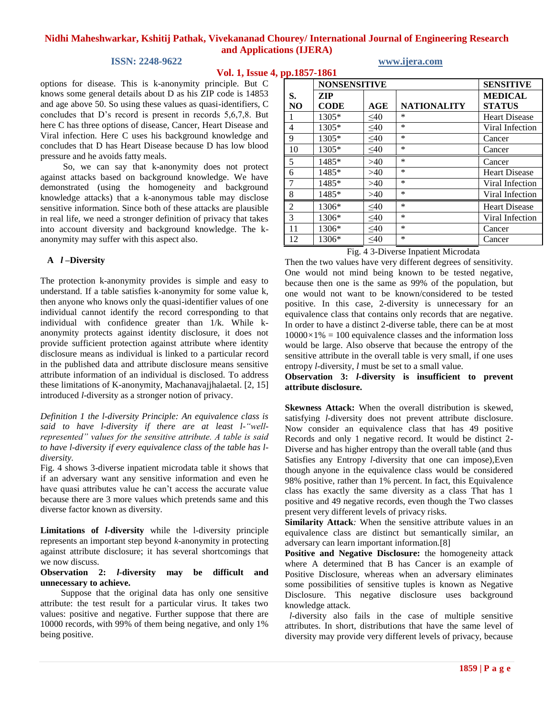## **ISSN: 2248-9622 www.ijera.com**

**Vol. 1, Issue 4, pp.1857-1861**

options for disease. This is k-anonymity principle. But C knows some general details about D as his ZIP code is 14853 and age above 50. So using these values as quasi-identifiers, C concludes that D"s record is present in records 5,6,7,8. But here C has three options of disease, Cancer, Heart Disease and Viral infection. Here C uses his background knowledge and concludes that D has Heart Disease because D has low blood pressure and he avoids fatty meals.

 So, we can say that k-anonymity does not protect against attacks based on background knowledge. We have demonstrated (using the homogeneity and background knowledge attacks) that a k-anonymous table may disclose sensitive information. Since both of these attacks are plausible in real life, we need a stronger definition of privacy that takes into account diversity and background knowledge. The kanonymity may suffer with this aspect also.

#### **A** *l* **–Diversity**

The protection k-anonymity provides is simple and easy to understand. If a table satisfies k-anonymity for some value k, then anyone who knows only the quasi-identifier values of one individual cannot identify the record corresponding to that individual with confidence greater than 1/k. While kanonymity protects against identity disclosure, it does not provide sufficient protection against attribute where identity disclosure means as individual is linked to a particular record in the published data and attribute disclosure means sensitive attribute information of an individual is disclosed. To address these limitations of K-anonymity, Machanavajjhalaetal. [2, 15] introduced *l*-diversity as a stronger notion of privacy.

*Definition 1 the l-diversity Principle: An equivalence class is said to have l-diversity if there are at least l-"wellrepresented" values for the sensitive attribute. A table is said to have l-diversity if every equivalence class of the table has ldiversity.*

Fig. 4 shows 3-diverse inpatient microdata table it shows that if an adversary want any sensitive information and even he have quasi attributes value he can't access the accurate value because there are 3 more values which pretends same and this diverse factor known as diversity.

**Limitations of** *l***-diversity** while the l*-*diversity principle represents an important step beyond *k*-anonymity in protecting against attribute disclosure; it has several shortcomings that we now discuss.

### **Observation 2:** *l***-diversity may be difficult and unnecessary to achieve.**

Suppose that the original data has only one sensitive attribute: the test result for a particular virus. It takes two values: positive and negative. Further suppose that there are 10000 records, with 99% of them being negative, and only 1% being positive.

|             | <b>SENSITIVE</b> |                     |                      |
|-------------|------------------|---------------------|----------------------|
| <b>ZIP</b>  |                  |                     | <b>MEDICAL</b>       |
| <b>CODE</b> | AGE              | <b>NATIONALITY</b>  | <b>STATUS</b>        |
| 1305*       | $\leq 40$        | $\ast$              | <b>Heart Disease</b> |
| 1305*       | $\leq 40$        | $\ast$              | Viral Infection      |
| 1305*       | $\leq 40$        | *                   | Cancer               |
| 1305*       | $\leq 40$        | $\ast$              | Cancer               |
| 1485*       | >40              | *                   | Cancer               |
| $1485*$     | >40              | $\ast$              | <b>Heart Disease</b> |
| 1485*       | >40              | $\ast$              | Viral Infection      |
| 1485*       | >40              | $\ast$              | Viral Infection      |
| 1306*       | $\leq 40$        | $\ast$              | <b>Heart Disease</b> |
| 1306*       | $\leq 40$        | $\ast$              | Viral Infection      |
| 1306*       | $\leq 40$        | *                   | Cancer               |
| 1306*       | $\leq 40$        | $\ast$              | Cancer               |
|             |                  | <b>NONSENSITIVE</b> |                      |

Fig. 4 3-Diverse Inpatient Microdata

Then the two values have very different degrees of sensitivity. One would not mind being known to be tested negative, because then one is the same as 99% of the population, but one would not want to be known/considered to be tested positive. In this case, 2-diversity is unnecessary for an equivalence class that contains only records that are negative. In order to have a distinct 2-diverse table, there can be at most  $10000\times1\% = 100$  equivalence classes and the information loss would be large. Also observe that because the entropy of the sensitive attribute in the overall table is very small, if one uses entropy *l-*diversity, *l* must be set to a small value.

**Observation 3:** *l-***diversity is insufficient to prevent attribute disclosure.**

**Skewness Attack:** When the overall distribution is skewed, satisfying *l-*diversity does not prevent attribute disclosure. Now consider an equivalence class that has 49 positive Records and only 1 negative record. It would be distinct 2- Diverse and has higher entropy than the overall table (and thus Satisfies any Entropy *l*-diversity that one can impose),Even though anyone in the equivalence class would be considered 98% positive, rather than 1% percent. In fact, this Equivalence class has exactly the same diversity as a class That has 1 positive and 49 negative records, even though the Two classes present very different levels of privacy risks.

**Similarity Attack**: When the sensitive attribute values in an equivalence class are distinct but semantically similar, an adversary can learn important information.[8]

**Positive and Negative Disclosure:** the homogeneity attack where A determined that B has Cancer is an example of Positive Disclosure, whereas when an adversary eliminates some possibilities of sensitive tuples is known as Negative Disclosure. This negative disclosure uses background knowledge attack.

 *l*-diversity also fails in the case of multiple sensitive attributes. In short, distributions that have the same level of diversity may provide very different levels of privacy, because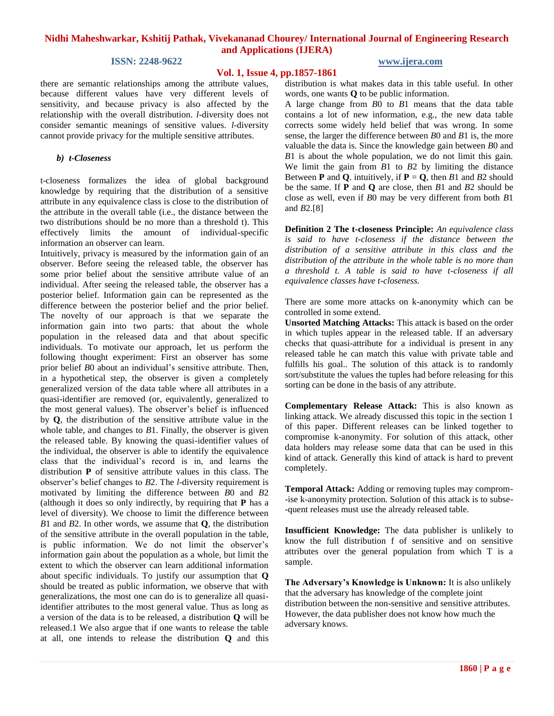### **ISSN: 2248-9622 www.ijera.com**

#### **Vol. 1, Issue 4, pp.1857-1861**

there are semantic relationships among the attribute values, because different values have very different levels of sensitivity, and because privacy is also affected by the relationship with the overall distribution. *l*-diversity does not consider semantic meanings of sensitive values. *l*-diversity cannot provide privacy for the multiple sensitive attributes.

#### *b) t-Closeness*

t-closeness formalizes the idea of global background knowledge by requiring that the distribution of a sensitive attribute in any equivalence class is close to the distribution of the attribute in the overall table (i.e., the distance between the two distributions should be no more than a threshold t). This effectively limits the amount of individual-specific information an observer can learn.

Intuitively, privacy is measured by the information gain of an observer. Before seeing the released table, the observer has some prior belief about the sensitive attribute value of an individual. After seeing the released table, the observer has a posterior belief. Information gain can be represented as the difference between the posterior belief and the prior belief. The novelty of our approach is that we separate the information gain into two parts: that about the whole population in the released data and that about specific individuals. To motivate our approach, let us perform the following thought experiment: First an observer has some prior belief *B*0 about an individual's sensitive attribute. Then, in a hypothetical step, the observer is given a completely generalized version of the data table where all attributes in a quasi-identifier are removed (or, equivalently, generalized to the most general values). The observer"s belief is influenced by **Q**, the distribution of the sensitive attribute value in the whole table, and changes to *B*1. Finally, the observer is given the released table. By knowing the quasi-identifier values of the individual, the observer is able to identify the equivalence class that the individual"s record is in, and learns the distribution **P** of sensitive attribute values in this class. The observer"s belief changes to *B*2. The *l*-diversity requirement is motivated by limiting the difference between *B*0 and *B*2 (although it does so only indirectly, by requiring that **P** has a level of diversity). We choose to limit the difference between *B*1 and *B*2. In other words, we assume that **Q**, the distribution of the sensitive attribute in the overall population in the table, is public information. We do not limit the observer's information gain about the population as a whole, but limit the extent to which the observer can learn additional information about specific individuals. To justify our assumption that **Q**  should be treated as public information, we observe that with generalizations, the most one can do is to generalize all quasiidentifier attributes to the most general value. Thus as long as a version of the data is to be released, a distribution **Q** will be released.1 We also argue that if one wants to release the table at all, one intends to release the distribution **Q** and this

#### distribution is what makes data in this table useful. In other words, one wants **Q** to be public information.

A large change from *B*0 to *B*1 means that the data table contains a lot of new information, e.g., the new data table corrects some widely held belief that was wrong. In some sense, the larger the difference between *B*0 and *B*1 is, the more valuable the data is. Since the knowledge gain between *B*0 and *B*1 is about the whole population, we do not limit this gain. We limit the gain from *B*1 to *B*2 by limiting the distance Between **P** and **Q**. intuitively, if  $P = Q$ , then *B*1 and *B*2 should be the same. If **P** and **Q** are close, then *B*1 and *B*2 should be close as well, even if *B*0 may be very different from both *B*1 and *B*2.[8]

**Definition 2 The t-closeness Principle:** *An equivalence class is said to have t-closeness if the distance between the distribution of a sensitive attribute in this class and the distribution of the attribute in the whole table is no more than a threshold t. A table is said to have t-closeness if all equivalence classes have t-closeness.*

There are some more attacks on k-anonymity which can be controlled in some extend.

**Unsorted Matching Attacks:** This attack is based on the order in which tuples appear in the released table. If an adversary checks that quasi-attribute for a individual is present in any released table he can match this value with private table and fulfills his goal.. The solution of this attack is to randomly sort/substitute the values the tuples had before releasing for this sorting can be done in the basis of any attribute.

**Complementary Release Attack:** This is also known as linking attack. We already discussed this topic in the section 1 of this paper. Different releases can be linked together to compromise k-anonymity. For solution of this attack, other data holders may release some data that can be used in this kind of attack. Generally this kind of attack is hard to prevent completely.

**Temporal Attack:** Adding or removing tuples may comprom- -ise k-anonymity protection. Solution of this attack is to subse- -quent releases must use the already released table.

**Insufficient Knowledge:** The data publisher is unlikely to know the full distribution f of sensitive and on sensitive attributes over the general population from which T is a sample.

**The Adversary's Knowledge is Unknown:** It is also unlikely that the adversary has knowledge of the complete joint distribution between the non-sensitive and sensitive attributes. However, the data publisher does not know how much the adversary knows.